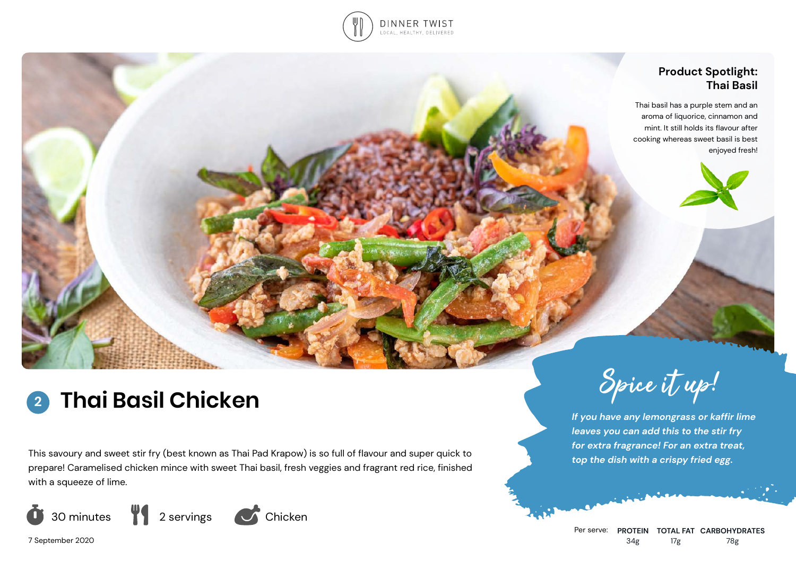

## **Product Spotlight: Thai Basil**

Thai basil has a purple stem and an aroma of liquorice, cinnamon and mint. It still holds its flavour after cooking whereas sweet basil is best enjoyed fresh!

# **Thai Basil Chicken Spice it up! 2**

This savoury and sweet stir fry (best known as Thai Pad Krapow) is so full of flavour and super quick to prepare! Caramelised chicken mince with sweet Thai basil, fresh veggies and fragrant red rice, finished with a squeeze of lime.





*If you have any lemongrass or kaffir lime leaves you can add this to the stir fry for extra fragrance! For an extra treat, top the dish with a crispy fried egg.*